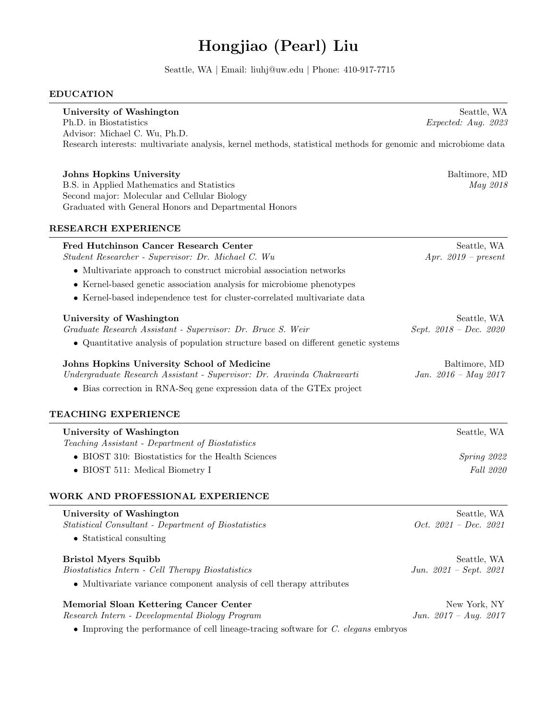# Hongjiao (Pearl) Liu

Seattle, WA | Email: liuhj@uw.edu | Phone: 410-917-7715

#### EDUCATION

| University of Washington                                                                                       | Seattle, WA            |
|----------------------------------------------------------------------------------------------------------------|------------------------|
| Ph.D. in Biostatistics                                                                                         | Expected: Aug. 2023    |
| Advisor: Michael C. Wu, Ph.D.                                                                                  |                        |
| Research interests: multivariate analysis, kernel methods, statistical methods for genomic and microbiome data |                        |
| <b>Johns Hopkins University</b>                                                                                | Baltimore, MD          |
| B.S. in Applied Mathematics and Statistics                                                                     | May 2018               |
| Second major: Molecular and Cellular Biology                                                                   |                        |
| Graduated with General Honors and Departmental Honors                                                          |                        |
| <b>RESEARCH EXPERIENCE</b>                                                                                     |                        |
| Fred Hutchinson Cancer Research Center                                                                         | Seattle, WA            |
| Student Researcher - Supervisor: Dr. Michael C. Wu                                                             | Apr. $2019$ – present  |
| • Multivariate approach to construct microbial association networks                                            |                        |
| • Kernel-based genetic association analysis for microbiome phenotypes                                          |                        |
| • Kernel-based independence test for cluster-correlated multivariate data                                      |                        |
| University of Washington                                                                                       | Seattle, WA            |
| Graduate Research Assistant - Supervisor: Dr. Bruce S. Weir                                                    | Sept. 2018 - Dec. 2020 |
| • Quantitative analysis of population structure based on different genetic systems                             |                        |
| Johns Hopkins University School of Medicine                                                                    | Baltimore, MD          |
| Undergraduate Research Assistant - Supervisor: Dr. Aravinda Chakravarti                                        | Jan. $2016 - May 2017$ |
| • Bias correction in RNA-Seq gene expression data of the GTEx project                                          |                        |
| TEACHING EXPERIENCE                                                                                            |                        |
| University of Washington                                                                                       | Seattle, WA            |
| Teaching Assistant - Department of Biostatistics                                                               |                        |
| • BIOST 310: Biostatistics for the Health Sciences                                                             | Spring 2022            |
| • BIOST 511: Medical Biometry I                                                                                | Fall 2020              |
| WORK AND PROFESSIONAL EXPERIENCE                                                                               |                        |
| University of Washington                                                                                       | Seattle, WA            |

Statistical Consultant - Department of Biostatistics Oct. 2021 – Dec. 2021

• Statistical consulting

## Bristol Myers Squibb Seattle, WA

Biostatistics Intern - Cell Therapy Biostatistics Jun. 2021 – Sept. 2021

• Multivariate variance component analysis of cell therapy attributes

Memorial Sloan Kettering Cancer Center New York, NY Research Intern - Developmental Biology Program Jun. 2017 – Aug. 2017

• Improving the performance of cell lineage-tracing software for C. elegans embryos